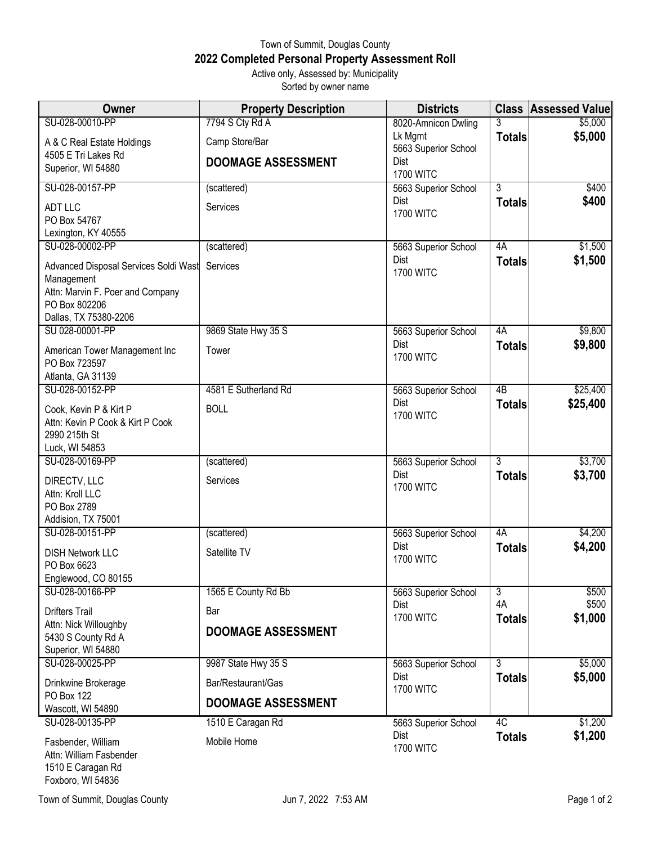## Town of Summit, Douglas County **2022 Completed Personal Property Assessment Roll** Active only, Assessed by: Municipality

Sorted by owner name

| <b>Owner</b>                                      | <b>Property Description</b> | <b>Districts</b>                | <b>Class</b>   | <b>Assessed Value</b> |
|---------------------------------------------------|-----------------------------|---------------------------------|----------------|-----------------------|
| SU-028-00010-PP                                   | 7794 S Cty Rd A             | 8020-Amnicon Dwling             | 3              | \$5,000               |
| A & C Real Estate Holdings                        | Camp Store/Bar              | Lk Mgmt<br>5663 Superior School | <b>Totals</b>  | \$5,000               |
| 4505 E Tri Lakes Rd                               | <b>DOOMAGE ASSESSMENT</b>   | Dist                            |                |                       |
| Superior, WI 54880                                |                             | <b>1700 WITC</b>                |                |                       |
| SU-028-00157-PP                                   | (scattered)                 | 5663 Superior School            | $\overline{3}$ | \$400                 |
| <b>ADT LLC</b>                                    | Services                    | Dist<br><b>1700 WITC</b>        | <b>Totals</b>  | \$400                 |
| PO Box 54767                                      |                             |                                 |                |                       |
| Lexington, KY 40555                               |                             |                                 |                |                       |
| SU-028-00002-PP                                   | (scattered)                 | 5663 Superior School<br>Dist    | 4A             | \$1,500<br>\$1,500    |
| Advanced Disposal Services Soldi Wast             | Services                    | <b>1700 WITC</b>                | <b>Totals</b>  |                       |
| Management<br>Attn: Marvin F. Poer and Company    |                             |                                 |                |                       |
| PO Box 802206                                     |                             |                                 |                |                       |
| Dallas, TX 75380-2206                             |                             |                                 |                |                       |
| SU 028-00001-PP                                   | 9869 State Hwy 35 S         | 5663 Superior School            | 4A             | \$9,800               |
| American Tower Management Inc                     | Tower                       | Dist                            | <b>Totals</b>  | \$9,800               |
| PO Box 723597                                     |                             | <b>1700 WITC</b>                |                |                       |
| Atlanta, GA 31139                                 |                             |                                 |                |                       |
| SU-028-00152-PP                                   | 4581 E Sutherland Rd        | 5663 Superior School<br>Dist    | 4B             | \$25,400              |
| Cook, Kevin P & Kirt P                            | <b>BOLL</b>                 | <b>1700 WITC</b>                | <b>Totals</b>  | \$25,400              |
| Attn: Kevin P Cook & Kirt P Cook<br>2990 215th St |                             |                                 |                |                       |
| Luck, WI 54853                                    |                             |                                 |                |                       |
| SU-028-00169-PP                                   | (scattered)                 | 5663 Superior School            | $\overline{3}$ | \$3,700               |
| DIRECTV, LLC                                      | Services                    | Dist                            | <b>Totals</b>  | \$3,700               |
| Attn: Kroll LLC                                   |                             | <b>1700 WITC</b>                |                |                       |
| PO Box 2789                                       |                             |                                 |                |                       |
| Addision, TX 75001<br>SU-028-00151-PP             |                             |                                 | 4A             |                       |
|                                                   | (scattered)                 | 5663 Superior School<br>Dist    | <b>Totals</b>  | \$4,200<br>\$4,200    |
| <b>DISH Network LLC</b>                           | Satellite TV                | <b>1700 WITC</b>                |                |                       |
| PO Box 6623<br>Englewood, CO 80155                |                             |                                 |                |                       |
| SU-028-00166-PP                                   | 1565 E County Rd Bb         | 5663 Superior School            | 3              | \$500                 |
| <b>Drifters Trail</b>                             | Bar                         | Dist                            | 4A             | \$500                 |
| Attn: Nick Willoughby                             |                             | <b>1700 WITC</b>                | <b>Totals</b>  | \$1,000               |
| 5430 S County Rd A                                | <b>DOOMAGE ASSESSMENT</b>   |                                 |                |                       |
| Superior, WI 54880                                |                             |                                 |                |                       |
| SU-028-00025-PP                                   | 9987 State Hwy 35 S         | 5663 Superior School<br>Dist    | $\overline{3}$ | \$5,000               |
| Drinkwine Brokerage                               | Bar/Restaurant/Gas          | <b>1700 WITC</b>                | <b>Totals</b>  | \$5,000               |
| PO Box 122<br>Wascott, WI 54890                   | <b>DOOMAGE ASSESSMENT</b>   |                                 |                |                       |
| SU-028-00135-PP                                   | 1510 E Caragan Rd           | 5663 Superior School            | 4C             | \$1,200               |
|                                                   |                             | Dist                            | <b>Totals</b>  | \$1,200               |
| Fasbender, William<br>Attn: William Fasbender     | Mobile Home                 | <b>1700 WITC</b>                |                |                       |

1510 E Caragan Rd Foxboro, WI 54836